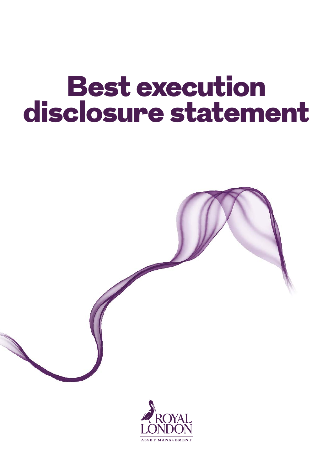# Best execution disclosure statement



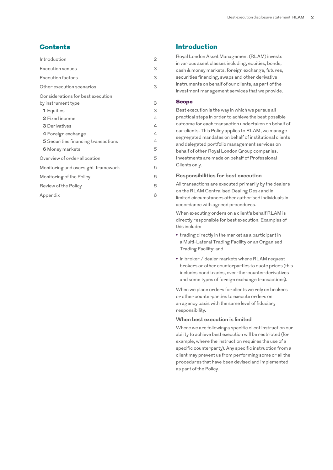# **Contents**

| Introduction                        | 2 |
|-------------------------------------|---|
| Execution venues                    | 3 |
| Execution factors                   | 3 |
| Other execution scenarios           | 3 |
| Considerations for best execution   | 3 |
| by instrument type<br>1 Equities    | З |
| 2 Fixed income                      | 4 |
| <b>3</b> Derivatives                | 4 |
| 4 Foreign exchange                  | 4 |
| 5 Securities financing transactions | 4 |
| 6 Money markets                     | 5 |
| Overview of order allocation        | 5 |
| Monitoring and oversight framework  | 5 |
| Monitoring of the Policy            | 5 |
| Review of the Policy                | 5 |
| Appendix                            | 6 |

## Introduction

Royal London Asset Management (RLAM) invests in various asset classes including, equities, bonds, cash & money markets, foreign exchange, futures, securities financing, swaps and other derivative instruments on behalf of our clients, as part of the investment management services that we provide.

#### Scope

Best execution is the way in which we pursue all practical steps in order to achieve the best possible outcome for each transaction undertaken on behalf of our clients. This Policy applies to RLAM, we manage segregated mandates on behalf of institutional clients and delegated portfolio management services on behalf of other Royal London Group companies. Investments are made on behalf of Professional Clients only.

#### **Responsibilities for best execution**

All transactions are executed primarily by the dealers on the RLAM Centralised Dealing Desk and in limited circumstances other authorised individuals in accordance with agreed procedures.

When executing orders on a client's behalf RLAM is directly responsible for best execution. Examples of this include:

- **•** trading directly in the market as a participant in a Multi-Lateral Trading Facility or an Organised Trading Facility; and
- **•** in broker / dealer markets where RLAM request brokers or other counterparties to quote prices (this includes bond trades, over-the-counter derivatives and some types of foreign exchange transactions).

When we place orders for clients we rely on brokers or other counterparties to execute orders on an agency basis with the same level of fiduciary responsibility.

#### **When best execution is limited**

Where we are following a specific client instruction our ability to achieve best execution will be restricted (for example, where the instruction requires the use of a specific counterparty). Any specific instruction from a client may prevent us from performing some or all the procedures that have been devised and implemented as part of the Policy.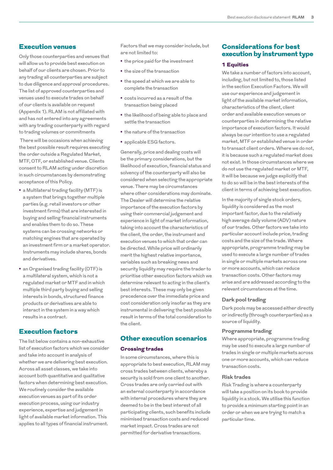## <span id="page-2-0"></span>Execution venues

Only those counterparties and venues that will allow us to provide best execution on behalf of our clients are chosen. Prior to any trading all counterparties are subject to due diligence and approval procedures. The list of approved counterparties and venues used to execute trades on behalf of our clients is available on request (Appendix 1). RLAM is not affiliated with and has not entered into any agreements with any trading counterparty with regard to trading volumes or commitments

 There will be occasions when achieving the best possible result requires executing the order outside a Regulated Market, MTF, OTF, or established venue. Clients consent to RLAM acting under discretion in such circumstances by demonstrating acceptance of this Policy.

- **•** a Multilateral trading facility (MTF) is a system that brings together multiple parties (e.g. retail investors or other investment firms) that are interested in buying and selling financial instruments and enables them to do so. These systems can be crossing networks or matching engines that are operated by an investment firm or a market operator. Instruments may include shares, bonds and derivatives.
- **•** an Organised trading facility (OTF) is a multilateral system, which is not a regulated market or MTF and in which multiple third party buying and selling interests in bonds, structured finance products or derivatives are able to interact in the system in a way which results in a contract.

# Execution factors

The list below contains a non-exhaustive list of execution factors which we consider and take into account in analysis of whether we are delivering best execution. Across all asset classes, we take into account both quantitative and qualitative factors when determining best execution. We routinely consider the available execution venues as part of its order execution process, using our industry experience, expertise and judgement in light of available market information. This applies to all types of financial instrument.

Factors that we may consider include, but are not limited to:

- **•** the price paid for the investment
- **•** the size of the transaction
- **•** the speed at which we are able to complete the transaction
- **•** costs incurred as a result of the transaction being placed
- **•** the likelihood of being able to place and settle the transaction
- **•** the nature of the transaction
- **•** applicable ESG factors.

Generally, price and dealing costs will be the primary considerations, but the likelihood of execution, financial status and solvency of the counterparty will also be considered when selecting the appropriate venue. There may be circumstances where other considerations may dominate. The Dealer will determine the relative importance of the execution factors by using their commercial judgement and experience in light of market information, taking into account the characteristics of the client, the order, the instrument and execution venues to which that order can be directed. While price will ordinarily merit the highest relative importance, variables such as breaking news and security liquidity may require the trader to prioritise other execution factors which we determine relevant to acting in the client's best interests. These may only be given precedence over the immediate price and cost consideration only insofar as they are instrumental in delivering the best possible result in terms of the total consideration to the client.

## Other execution scenarios

#### Crossing trades

In some circumstances, where this is appropriate to best execution, RLAM may cross trades between clients, whereby a security is sold from one client to another. Cross trades are only carried out with an external counterparty in accordance with internal procedures where they are deemed to be in the best interest of all participating clients, such benefits include minimised transaction costs and reduced market impact. Cross trades are not permitted for derivative transactions.

# Considerations for best execution by instrument type

#### 1 Equities

We take a number of factors into account, including, but not limited to, those listed in the section Execution Factors. We will use our experience and judgement in light of the available market information, characteristics of the client, client order and available execution venues or counterparties in determining the relative importance of execution factors. It would always be our intention to use a regulated market, MTF or established venue in order to transact client orders. Where we do not, it is because such a regulated market does not exist. In those circumstances where we do not use the regulated market or MTF, it will be because we judge explicitly that to do so will be in the best interests of the client in terms of achieving best execution.

In the majority of single stock orders, liquidity is considered as the most important factor, due to the relatively high average daily volume (ADV) nature of our trades. Other factors we take into particular account include price, trading costs and the size of the trade. Where appropriate, programme trading may be used to execute a large number of trades in single or multiple markets across one or more accounts, which can reduce transaction costs. Other factors may arise and are addressed according to the relevant circumstances at the time.

#### **Dark pool trading**

Dark pools may be accessed either directly or indirectly (through counterparties) as a source of liquidity.

#### **Programme trading**

Where appropriate, programme trading may be used to execute a large number of trades in single or multiple markets across one or more accounts, which can reduce transaction costs.

#### **Risk trades**

Risk Trading is where a counterparty will take a position on its book to provide liquidity in a stock. We utilise this function to provide a minimum starting point in an order or when we are trying to match a particular time.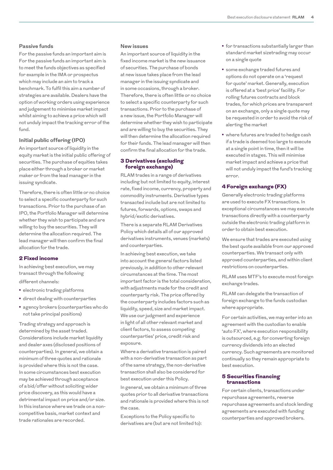#### <span id="page-3-0"></span>**Passive funds**

For the passive funds an important aim is For the passive funds an important aim is to meet the funds objectives as specified for example in the IMA or prospectus which may include an aim to track a benchmark. To fulfil this aim a number of strategies are available. Dealers have the option of working orders using experience and judgement to minimise market impact whilst aiming to achieve a price which will not unduly impact the tracking error of the fund.

#### **Initial public offering (IPO)**

An important source of liquidity in the equity market is the initial public offering of securities. The purchase of equities takes place either through a broker or market maker or from the lead manager in the issuing syndicate.

Therefore, there is often little or no choice to select a specific counterparty for such transactions. Prior to the purchase of an IPO, the Portfolio Manager will determine whether they wish to participate and are willing to buy the securities. They will determine the allocation required. The lead manager will then confirm the final allocation for the trade.

#### 2 Fixed income

In achieving best execution, we may transact through the following

different channels:

- **•** electronic trading platforms
- **•** direct dealing with counterparties
- **•** agency brokers (counterparties who do not take principal positions)

Trading strategy and approach is determined by the asset traded. Considerations include market liquidity and dealer axes (disclosed positions of counterparties). In general, we obtain a minimum of three quotes and rationale is provided where this is not the case. In some circumstances best execution may be achieved through acceptance of a bid/offer without soliciting wider price discovery, as this would have a detrimental impact on price and/or size. In this instance where we trade on a noncompetitive basis, market context and trade rationales are recorded.

#### **New issues**

An important source of liquidity in the fixed income market is the new issuance of securities. The purchase of bonds at new issue takes place from the lead manager in the issuing syndicate and in some occasions, through a broker. Therefore, there is often little or no choice to select a specific counterparty for such transactions. Prior to the purchase of a new issue, the Portfolio Manager will determine whether they wish to participate and are willing to buy the securities. They will then determine the allocation required for their funds. The lead manager will then confirm the final allocation for the trade.

#### 3 Derivatives (excluding foreign exchange)

RLAM trades in a range of derivatives including but not limited to equity, interest rate, fixed income, currency, property and commodity instruments. Derivative types transacted include but are not limited to futures, forwards, options, swaps and hybrid/exotic derivatives.

There is a separate RLAM Derivatives Policy which details all of our approved derivatives instruments, venues (markets) and counterparties.

In achieving best execution, we take into account the general factors listed previously, in addition to other relevant circumstances at the time. The most important factor is the total consideration, with adjustments made for the credit and counterparty risk. The price offered by the counterparty includes factors such as liquidity, speed, size and market impact. We use our judgment and experience in light of all other relevant market and client factors, to assess competing counterparties' price, credit risk and exposure.

Where a derivative transaction is paired with a non-derivative transaction as part of the same strategy, the non-derivative transaction shall also be considered for best execution under this Policy.

In general, we obtain a minimum of three quotes prior to all derivative transactions and rationale is provided where this is not the case.

Exceptions to the Policy specific to derivatives are (but are not limited to):

- **•** for transactions substantially larger than standard market sizetrading may occur on a single quote
- **•** some exchange traded futures and options do not operate on a 'request for quote' market. Generally, execution is offered at a 'best price' facility. For rolling futures contracts and block trades, for which prices are transparent on an exchange, only a single quote may be requested in order to avoid the risk of alerting the market
- **•** where futures are traded to hedge cash if a trade is deemed too large to execute at a single point in time, then it will be executed in stages. This will minimise market impact and achieve a price that will not unduly impact the fund's tracking error.

## 4 Foreign exchange (FX)

Generally electronic trading platforms are used to execute FX transactions. In exceptional circumstances we may execute transactions directly with a counterparty outside the electronic trading platform in order to obtain best execution.

We ensure that trades are executed using the best quote available from our approved counterparties. We transact only with approved counterparties, and within client restrictions on counterparties.

RLAM uses MTF's to execute most foreign exchange trades.

RLAM can delegate the transaction of foreign exchange to the funds custodian where appropriate.

For certain activities, we may enter into an agreement with the custodian to enable 'auto FX', where execution responsibility is outsourced, e.g. for converting foreign currency dividends into an elected currency. Such agreements are monitored continually so they remain appropriate to best execution.

#### 5 Securities financing transactions

For certain clients, transactions under repurchase agreements, reverse repurchase agreements and stock lending agreements are executed with funding counterparties and approved brokers.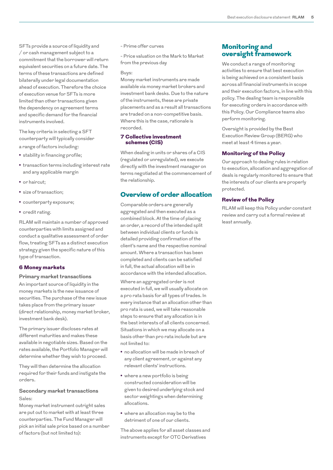<span id="page-4-0"></span>SFTs provide a source of liquidity and / or cash management subject to a commitment that the borrower will return equivalent securities on a future date. The terms of these transactions are defined bilaterally under legal documentation ahead of execution. Therefore the choice of execution venue for SFTs is more limited than other transactions given the dependency on agreement terms and specific demand for the financial instruments involved.

The key criteria in selecting a SFT counterparty will typically consider a range of factors including:

- **•** stability in financing profile;
- **•** transaction terms including interest rate and any applicable margin
- **•** or haircut;
- **•** size of transaction;
- **•** counterparty exposure;
- **•** credit rating.

RLAM will maintain a number of approved counterparties with limits assigned and conduct a qualitative assessment of order flow, treating SFTs as a distinct execution strategy given the specific nature of this type of transaction.

#### 6 Money markets

#### **Primary market transactions**

An important source of liquidity in the money markets is the new issuance of securities. The purchase of the new issue takes place from the primary issuer (direct relationship, money market broker, investment bank desk).

The primary issuer discloses rates at different maturities and makes these available in negotiable sizes. Based on the rates available, the Portfolio Manager will determine whether they wish to proceed.

They will then determine the allocation required for their funds and instigate the orders.

## **Secondary market transactions** Sales:

Money market instrument outright sales are put out to market with at least three counterparties. The Fund Manager will pick an initial sale price based on a number of factors (but not limited to):

- Prime offer curves

- Price valuation on the Mark to Market from the previous day

#### Buys:

Money market instruments are made available via money market brokers and investment bank desks. Due to the nature of the instruments, these are private placements and as a result all transactions are traded on a non-competitive basis. Where this is the case, rationale is recorded.

#### 7 Collective investment schemes (CIS)

When dealing in units or shares of a CIS (regulated or unregulated), we execute directly with the investment manager on terms negotiated at the commencement of the relationship.

# Overview of order allocation

Comparable orders are generally aggregated and then executed as a combined block. At the time of placing an order, a record of the intended split between individual clients or funds is detailed providing confirmation of the client's name and the respective nominal amount. Where a transaction has been completed and clients can be satisfied in full, the actual allocation will be in accordance with the intended allocation.

Where an aggregated order is not executed in full, we will usually allocate on a pro rata basis for all types of trades. In every instance that an allocation other than pro rata is used, we will take reasonable steps to ensure that any allocation is in the best interests of all clients concerned. Situations in which we may allocate on a basis other than pro rata include but are not limited to:

- **•** no allocation will be made in breach of any client agreement, or against any relevant clients' instructions.
- **•** where a new portfolio is being constructed consideration will be given to desired underlying stock and sector weightings when determining allocations.
- **•** where an allocation may be to the detriment of one of our clients.

The above applies for all asset classes and instruments except for OTC Derivatives

## Monitoring and oversight framework

We conduct a range of monitoring activities to ensure that best execution is being achieved on a consistent basis across all financial instruments in scope and their execution factors, in line with this policy. The dealing team is responsible for executing orders in accordance with this Policy. Our Compliance teams also perform monitoring.

Oversight is provided by the Best Execution Review Group (BERG) who meet at least 4 times a year.

#### Monitoring of the Policy

Our approach to dealing rules in relation to execution, allocation and aggregation of deals is regularly monitored to ensure that the interests of our clients are properly protected.

#### Review of the Policy

RLAM will keep this Policy under constant review and carry out a formal review at least annually.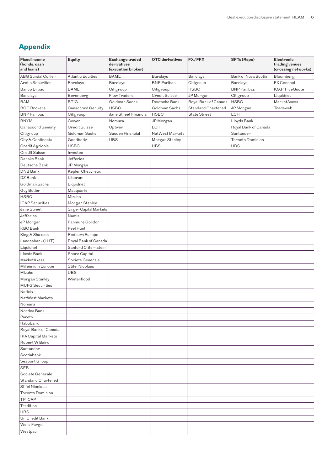# <span id="page-5-0"></span>Appendix

| <b>Fixed income</b><br>(bonds, cash<br>and loans) | Equity                   | Exchange traded<br>derivatives<br>(execution broker) | <b>OTC</b> derivatives | FX/FFX               | SFTs (Repo)             | Electronic<br>trading venues<br>(crossing networks) |
|---------------------------------------------------|--------------------------|------------------------------------------------------|------------------------|----------------------|-------------------------|-----------------------------------------------------|
| <b>ABG Sundal Collier</b>                         | <b>Atlantic Equities</b> | BAML                                                 | <b>Barclays</b>        | Barclays             | Bank of Nova Scotia     | Bloomberg                                           |
| <b>Arctic Securities</b>                          | <b>Barclays</b>          | <b>Barclays</b>                                      | <b>BNP Paribas</b>     | Citigroup            | <b>Barclays</b>         | FX Connect                                          |
| Banco Bilbao                                      | <b>BAML</b>              | Citigroup                                            | Citigroup              | <b>HSBC</b>          | <b>BNP</b> Paribas      | ICAP TrueQuote                                      |
| Barclays                                          | Berenberg                | Flow Traders                                         | <b>Credit Suisse</b>   | JP Morgan            | Citigroup               | Liquidnet                                           |
| BAML                                              | <b>BTIG</b>              | Goldman Sachs                                        | Deutsche Bank          | Royal Bank of Canada | <b>HSBC</b>             | MarketAxess                                         |
| <b>BGC Brokers</b>                                | Canaccord Genuity        | <b>HSBC</b>                                          | Goldman Sachs          | Standard Chartered   | JP Morgan               | Tradeweb                                            |
| <b>BNP</b> Paribas                                | Citigroup                | Jane Street Financial                                | <b>HSBC</b>            | State Street         | LCH                     |                                                     |
| <b>BNYM</b>                                       | Cowen                    | Nomura                                               | JP Morgan              |                      | Lloyds Bank             |                                                     |
| Canaccord Genuity                                 | Credit Suisse            | Optiver                                              | LCH                    |                      | Royal Bank of Canada    |                                                     |
| Citigroup                                         | Goldman Sachs            | Sucden Financial                                     | NatWest Markets        |                      | Santander               |                                                     |
| City & Continental                                | Goodbody                 | <b>UBS</b>                                           | Morgan Stanley         |                      | <b>Toronto Dominion</b> |                                                     |
| Credit Agricole                                   | <b>HSBC</b>              |                                                      | UBS                    |                      | <b>UBS</b>              |                                                     |
| Credit Suisse                                     | Investec                 |                                                      |                        |                      |                         |                                                     |
| Danske Bank                                       | Jefferies                |                                                      |                        |                      |                         |                                                     |
| Deutsche Bank                                     | JP Morgan                |                                                      |                        |                      |                         |                                                     |
| DNB Bank                                          | Kepler Cheuvreux         |                                                      |                        |                      |                         |                                                     |
| DZ Bank                                           | Liberum                  |                                                      |                        |                      |                         |                                                     |
| Goldman Sachs                                     | Liquidnet                |                                                      |                        |                      |                         |                                                     |
| Guy Butler                                        | Macquarie                |                                                      |                        |                      |                         |                                                     |
| <b>HSBC</b>                                       | Mizuho                   |                                                      |                        |                      |                         |                                                     |
| <b>ICAP</b> Securities                            | Morgan Stanley           |                                                      |                        |                      |                         |                                                     |
| Jane Street                                       | Singer Capital Markets   |                                                      |                        |                      |                         |                                                     |
| Jefferies                                         | Numis                    |                                                      |                        |                      |                         |                                                     |
| JP Morgan                                         | Panmure Gordon           |                                                      |                        |                      |                         |                                                     |
| <b>KBC</b> Bank                                   | Peel Hunt                |                                                      |                        |                      |                         |                                                     |
| King & Shaxson                                    | Redburn Europe           |                                                      |                        |                      |                         |                                                     |
| Landesbank (LHT)                                  | Royal Bank of Canada     |                                                      |                        |                      |                         |                                                     |
| Liquidnet                                         | Sanford C Bernstein      |                                                      |                        |                      |                         |                                                     |
| Lloyds Bank                                       | Shore Capital            |                                                      |                        |                      |                         |                                                     |
| MarketAxess                                       | Societe Generale         |                                                      |                        |                      |                         |                                                     |
| Millennium Europe                                 | Stifel Nicolaus          |                                                      |                        |                      |                         |                                                     |
| Mizuho                                            | <b>UBS</b>               |                                                      |                        |                      |                         |                                                     |
| Morgan Stanley                                    | Winterflood              |                                                      |                        |                      |                         |                                                     |
| <b>MUFG</b> Securities                            |                          |                                                      |                        |                      |                         |                                                     |
| Natixis                                           |                          |                                                      |                        |                      |                         |                                                     |
| NatWest Markets                                   |                          |                                                      |                        |                      |                         |                                                     |
| Nomura                                            |                          |                                                      |                        |                      |                         |                                                     |
| Nordea Bank                                       |                          |                                                      |                        |                      |                         |                                                     |
| Pareto                                            |                          |                                                      |                        |                      |                         |                                                     |
| Rabobank                                          |                          |                                                      |                        |                      |                         |                                                     |
| Royal Bank of Canada                              |                          |                                                      |                        |                      |                         |                                                     |
| RIA Capital Markets                               |                          |                                                      |                        |                      |                         |                                                     |
| Robert W Baird                                    |                          |                                                      |                        |                      |                         |                                                     |
| Santander                                         |                          |                                                      |                        |                      |                         |                                                     |
| Scotiabank                                        |                          |                                                      |                        |                      |                         |                                                     |
| Seaport Group                                     |                          |                                                      |                        |                      |                         |                                                     |
| <b>SEB</b>                                        |                          |                                                      |                        |                      |                         |                                                     |
| Societe Generale                                  |                          |                                                      |                        |                      |                         |                                                     |
| Standard Chartered                                |                          |                                                      |                        |                      |                         |                                                     |
| <b>Stifel Nicolaus</b>                            |                          |                                                      |                        |                      |                         |                                                     |
| <b>Toronto Dominion</b>                           |                          |                                                      |                        |                      |                         |                                                     |
| <b>TPICAP</b>                                     |                          |                                                      |                        |                      |                         |                                                     |
| Tradition                                         |                          |                                                      |                        |                      |                         |                                                     |
| <b>UBS</b>                                        |                          |                                                      |                        |                      |                         |                                                     |
| UniCredit Bank                                    |                          |                                                      |                        |                      |                         |                                                     |
| Wells Fargo                                       |                          |                                                      |                        |                      |                         |                                                     |
| Westpac                                           |                          |                                                      |                        |                      |                         |                                                     |
|                                                   |                          |                                                      |                        |                      |                         |                                                     |